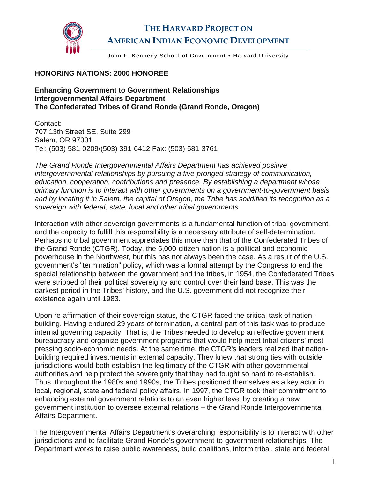

## **THE HARVARD PROJECT ON AMERICAN INDIAN ECONOMIC DEVELOPMENT**

John F. Kennedy School of Government • Harvard University

## **HONORING NATIONS: 2000 HONOREE**

**Enhancing Government to Government Relationships Intergovernmental Affairs Department The Confederated Tribes of Grand Ronde (Grand Ronde, Oregon)** 

Contact: 707 13th Street SE, Suite 299 Salem, OR 97301 Tel: (503) 581-0209/(503) 391-6412 Fax: (503) 581-3761

*The Grand Ronde Intergovernmental Affairs Department has achieved positive intergovernmental relationships by pursuing a five-pronged strategy of communication, education, cooperation, contributions and presence. By establishing a department whose primary function is to interact with other governments on a government-to-government basis and by locating it in Salem, the capital of Oregon, the Tribe has solidified its recognition as a sovereign with federal, state, local and other tribal governments.* 

Interaction with other sovereign governments is a fundamental function of tribal government, and the capacity to fulfill this responsibility is a necessary attribute of self-determination. Perhaps no tribal government appreciates this more than that of the Confederated Tribes of the Grand Ronde (CTGR). Today, the 5,000-citizen nation is a political and economic powerhouse in the Northwest, but this has not always been the case. As a result of the U.S. government's "termination" policy, which was a formal attempt by the Congress to end the special relationship between the government and the tribes, in 1954, the Confederated Tribes were stripped of their political sovereignty and control over their land base. This was the darkest period in the Tribes' history, and the U.S. government did not recognize their existence again until 1983.

Upon re-affirmation of their sovereign status, the CTGR faced the critical task of nationbuilding. Having endured 29 years of termination, a central part of this task was to produce internal governing capacity. That is, the Tribes needed to develop an effective government bureaucracy and organize government programs that would help meet tribal citizens' most pressing socio-economic needs. At the same time, the CTGR's leaders realized that nationbuilding required investments in external capacity. They knew that strong ties with outside jurisdictions would both establish the legitimacy of the CTGR with other governmental authorities and help protect the sovereignty that they had fought so hard to re-establish. Thus, throughout the 1980s and 1990s, the Tribes positioned themselves as a key actor in local, regional, state and federal policy affairs. In 1997, the CTGR took their commitment to enhancing external government relations to an even higher level by creating a new government institution to oversee external relations – the Grand Ronde Intergovernmental Affairs Department.

The Intergovernmental Affairs Department's overarching responsibility is to interact with other jurisdictions and to facilitate Grand Ronde's government-to-government relationships. The Department works to raise public awareness, build coalitions, inform tribal, state and federal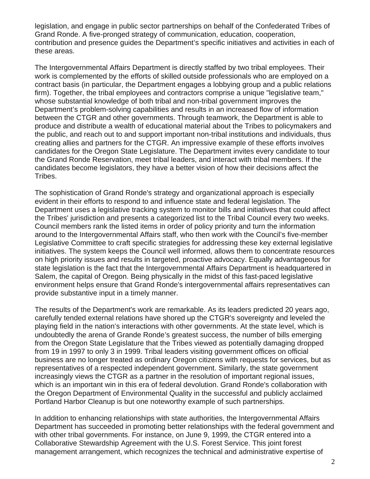legislation, and engage in public sector partnerships on behalf of the Confederated Tribes of Grand Ronde. A five-pronged strategy of communication, education, cooperation, contribution and presence guides the Department's specific initiatives and activities in each of these areas.

The Intergovernmental Affairs Department is directly staffed by two tribal employees. Their work is complemented by the efforts of skilled outside professionals who are employed on a contract basis (in particular, the Department engages a lobbying group and a public relations firm). Together, the tribal employees and contractors comprise a unique "legislative team," whose substantial knowledge of both tribal and non-tribal government improves the Department's problem-solving capabilities and results in an increased flow of information between the CTGR and other governments. Through teamwork, the Department is able to produce and distribute a wealth of educational material about the Tribes to policymakers and the public, and reach out to and support important non-tribal institutions and individuals, thus creating allies and partners for the CTGR. An impressive example of these efforts involves candidates for the Oregon State Legislature. The Department invites every candidate to tour the Grand Ronde Reservation, meet tribal leaders, and interact with tribal members. If the candidates become legislators, they have a better vision of how their decisions affect the Tribes.

The sophistication of Grand Ronde's strategy and organizational approach is especially evident in their efforts to respond to and influence state and federal legislation. The Department uses a legislative tracking system to monitor bills and initiatives that could affect the Tribes' jurisdiction and presents a categorized list to the Tribal Council every two weeks. Council members rank the listed items in order of policy priority and turn the information around to the Intergovernmental Affairs staff, who then work with the Council's five-member Legislative Committee to craft specific strategies for addressing these key external legislative initiatives. The system keeps the Council well informed, allows them to concentrate resources on high priority issues and results in targeted, proactive advocacy. Equally advantageous for state legislation is the fact that the Intergovernmental Affairs Department is headquartered in Salem, the capital of Oregon. Being physically in the midst of this fast-paced legislative environment helps ensure that Grand Ronde's intergovernmental affairs representatives can provide substantive input in a timely manner.

The results of the Department's work are remarkable. As its leaders predicted 20 years ago, carefully tended external relations have shored up the CTGR's sovereignty and leveled the playing field in the nation's interactions with other governments. At the state level, which is undoubtedly the arena of Grande Ronde's greatest success, the number of bills emerging from the Oregon State Legislature that the Tribes viewed as potentially damaging dropped from 19 in 1997 to only 3 in 1999. Tribal leaders visiting government offices on official business are no longer treated as ordinary Oregon citizens with requests for services, but as representatives of a respected independent government. Similarly, the state government increasingly views the CTGR as a partner in the resolution of important regional issues, which is an important win in this era of federal devolution. Grand Ronde's collaboration with the Oregon Department of Environmental Quality in the successful and publicly acclaimed Portland Harbor Cleanup is but one noteworthy example of such partnerships.

In addition to enhancing relationships with state authorities, the Intergovernmental Affairs Department has succeeded in promoting better relationships with the federal government and with other tribal governments. For instance, on June 9, 1999, the CTGR entered into a Collaborative Stewardship Agreement with the U.S. Forest Service. This joint forest management arrangement, which recognizes the technical and administrative expertise of